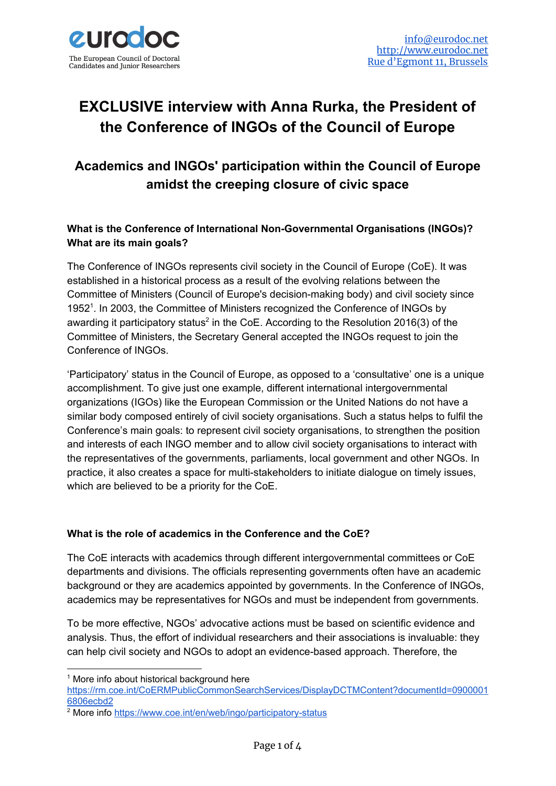

# **EXCLUSIVE interview with Anna Rurka, the President of the Conference of INGOs of the Council of Europe**

# **Academics and INGOs' participation within the Council of Europe amidst the creeping closure of civic space**

# **What is the Conference of International Non-Governmental Organisations (INGOs)? What are its main goals?**

The Conference of INGOs represents civil society in the Council of Europe (CoE). It was established in a historical process as a result of the evolving relations between the Committee of Ministers (Council of Europe's decision-making body) and civil society since 1952<sup>1</sup>. In 2003, the Committee of Ministers recognized the Conference of INGOs by awarding it participatory status<sup>2</sup> in the CoE. According to the Resolution 2016(3) of the Committee of Ministers, the Secretary General accepted the INGOs request to join the Conference of INGOs.

'Participatory' status in the Council of Europe, as opposed to a 'consultative' one is a unique accomplishment. To give just one example, different international intergovernmental organizations (IGOs) like the European Commission or the United Nations do not have a similar body composed entirely of civil society organisations. Such a status helps to fulfil the Conference's main goals: to represent civil society organisations, to strengthen the position and interests of each INGO member and to allow civil society organisations to interact with the representatives of the governments, parliaments, local government and other NGOs. In practice, it also creates a space for multi-stakeholders to initiate dialogue on timely issues, which are believed to be a priority for the CoE.

#### **What is the role of academics in the Conference and the CoE?**

The CoE interacts with academics through different intergovernmental committees or CoE departments and divisions. The officials representing governments often have an academic background or they are academics appointed by governments. In the Conference of INGOs, academics may be representatives for NGOs and must be independent from governments.

To be more effective, NGOs' advocative actions must be based on scientific evidence and analysis. Thus, the effort of individual researchers and their associations is invaluable: they can help civil society and NGOs to adopt an evidence-based approach. Therefore, the

<sup>&</sup>lt;sup>1</sup> More info about historical background here

[https://rm.coe.int/CoERMPublicCommonSearchServices/DisplayDCTMContent?documentId=0900001](https://rm.coe.int/CoERMPublicCommonSearchServices/DisplayDCTMContent?documentId=09000016806ecbd2) [6806ecbd2](https://rm.coe.int/CoERMPublicCommonSearchServices/DisplayDCTMContent?documentId=09000016806ecbd2)

<sup>&</sup>lt;sup>2</sup> More info <https://www.coe.int/en/web/ingo/participatory-status>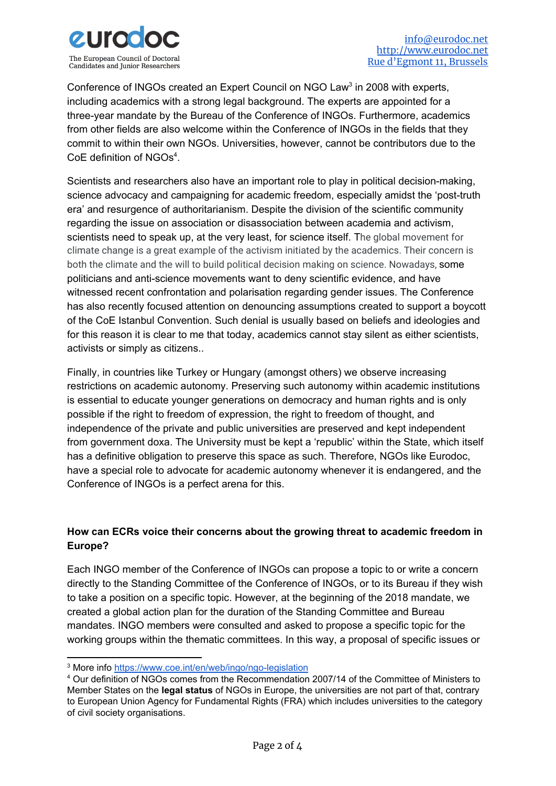

Conference of INGOs created an Expert Council on NGO Law<sup>3</sup> in 2008 with experts, including academics with a strong legal background. The experts are appointed for a three-year mandate by the Bureau of the Conference of INGOs. Furthermore, academics from other fields are also welcome within the Conference of INGOs in the fields that they commit to within their own NGOs. Universities, however, cannot be contributors due to the CoE definition of  $NGOs<sup>4</sup>$ .

Scientists and researchers also have an important role to play in political decision-making, science advocacy and campaigning for academic freedom, especially amidst the 'post-truth era' and resurgence of authoritarianism. Despite the division of the scientific community regarding the issue on association or disassociation between academia and activism, scientists need to speak up, at the very least, for science itself. The global movement for climate change is a great example of the activism initiated by the academics. Their concern is both the climate and the will to build political decision making on science. Nowadays, some politicians and anti-science movements want to deny scientific evidence, and have witnessed recent confrontation and polarisation regarding gender issues. The Conference has also recently focused attention on denouncing assumptions created to support a boycott of the CoE Istanbul Convention. Such denial is usually based on beliefs and ideologies and for this reason it is clear to me that today, academics cannot stay silent as either scientists, activists or simply as citizens..

Finally, in countries like Turkey or Hungary (amongst others) we observe increasing restrictions on academic autonomy. Preserving such autonomy within academic institutions is essential to educate younger generations on democracy and human rights and is only possible if the right to freedom of expression, the right to freedom of thought, and independence of the private and public universities are preserved and kept independent from government doxa. The University must be kept a 'republic' within the State, which itself has a definitive obligation to preserve this space as such. Therefore, NGOs like Eurodoc, have a special role to advocate for academic autonomy whenever it is endangered, and the Conference of INGOs is a perfect arena for this.

# **How can ECRs voice their concerns about the growing threat to academic freedom in Europe?**

Each INGO member of the Conference of INGOs can propose a topic to or write a concern directly to the Standing Committee of the Conference of INGOs, or to its Bureau if they wish to take a position on a specific topic. However, at the beginning of the 2018 mandate, we created a global action plan for the duration of the Standing Committee and Bureau mandates. INGO members were consulted and asked to propose a specific topic for the working groups within the thematic committees. In this way, a proposal of specific issues or

<sup>&</sup>lt;sup>3</sup> More info <https://www.coe.int/en/web/ingo/ngo-legislation>

<sup>4</sup> Our definition of NGOs comes from the Recommendation 2007/14 of the Committee of Ministers to Member States on the **legal [status](https://search.coe.int/cm/Pages/result_details.aspx?ObjectId=09000016805d534d)** of NGOs in Europe, the universities are not part of that, contrary to European Union Agency for Fundamental Rights (FRA) which includes universities to the category of civil society organisations.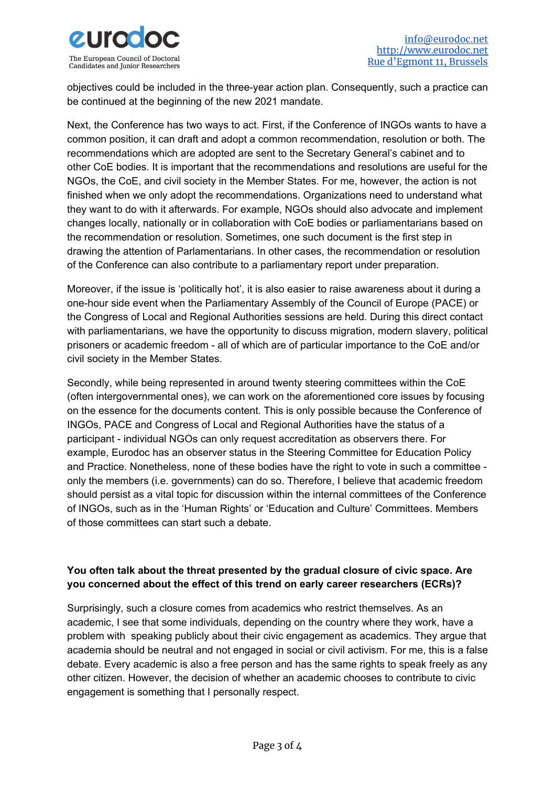

objectives could be included in the three-year action plan. Consequently, such a practice can be continued at the beginning of the new 2021 mandate.

Next, the Conference has two ways to act. First, if the Conference of INGOs wants to have a common position, it can draft and adopt a common recommendation, resolution or both. The recommendations which are adopted are sent to the Secretary General's cabinet and to other CoE bodies. It is important that the recommendations and resolutions are useful for the NGOs, the CoE, and civil society in the Member States. For me, however, the action is not finished when we only adopt the recommendations. Organizations need to understand what they want to do with it afterwards. For example, NGOs should also advocate and implement changes locally, nationally or in collaboration with CoE bodies or parliamentarians based on the recommendation or resolution. Sometimes, one such document is the first step in drawing the attention of Parlamentarians. In other cases, the recommendation or resolution of the Conference can also contribute to a parliamentary report under preparation.

Moreover, if the issue is 'politically hot', it is also easier to raise awareness about it during a one-hour side event when the Parliamentary Assembly of the Council of Europe (PACE) or the Congress of Local and Regional Authorities sessions are held. During this direct contact with parliamentarians, we have the opportunity to discuss migration, modern slavery, political prisoners or academic freedom - all of which are of particular importance to the CoE and/or civil society in the Member States.

Secondly, while being represented in around twenty steering committees within the CoE (often intergovernmental ones), we can work on the aforementioned core issues by focusing on the essence for the documents content. This is only possible because the Conference of INGOs, PACE and Congress of Local and Regional Authorities have the status of a participant - individual NGOs can only request accreditation as observers there. For example, Eurodoc has an observer status in the Steering Committee for Education Policy and Practice. Nonetheless, none of these bodies have the right to vote in such a committee only the members (i.e. governments) can do so. Therefore, I believe that academic freedom should persist as a vital topic for discussion within the internal committees of the Conference of INGOs, such as in the 'Human Rights' or 'Education and Culture' Committees. Members of those committees can start such a debate.

# **You often talk about the threat presented by the gradual closure of civic space. Are you concerned about the effect of this trend on early career researchers (ECRs)?**

Surprisingly, such a closure comes from academics who restrict themselves. As an academic, I see that some individuals, depending on the country where they work, have a problem with speaking publicly about their civic engagement as academics. They argue that academia should be neutral and not engaged in social or civil activism. For me, this is a false debate. Every academic is also a free person and has the same rights to speak freely as any other citizen. However, the decision of whether an academic chooses to contribute to civic engagement is something that I personally respect.